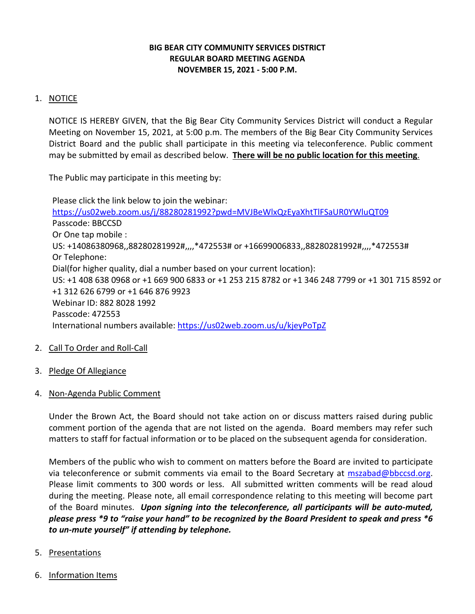## **BIG BEAR CITY COMMUNITY SERVICES DISTRICT REGULAR BOARD MEETING AGENDA NOVEMBER 15, 2021 - 5:00 P.M.**

## 1. NOTICE

NOTICE IS HEREBY GIVEN, that the Big Bear City Community Services District will conduct a Regular Meeting on November 15, 2021, at 5:00 p.m. The members of the Big Bear City Community Services District Board and the public shall participate in this meeting via teleconference. Public comment may be submitted by email as described below. **There will be no public location for this meeting**.

The Public may participate in this meeting by:

Please click the link below to join the webinar: <https://us02web.zoom.us/j/88280281992?pwd=MVJBeWlxQzEyaXhtTlFSaUR0YWluQT09> Passcode: BBCCSD Or One tap mobile : US: +14086380968,,88280281992#,,,,\*472553# or +16699006833,,88280281992#,,,,\*472553# Or Telephone: Dial(for higher quality, dial a number based on your current location): US: +1 408 638 0968 or +1 669 900 6833 or +1 253 215 8782 or +1 346 248 7799 or +1 301 715 8592 or +1 312 626 6799 or +1 646 876 9923 Webinar ID: 882 8028 1992 Passcode: 472553 International numbers available:<https://us02web.zoom.us/u/kjeyPoTpZ>

- 2. Call To Order and Roll-Call
- 3. Pledge Of Allegiance
- 4. Non-Agenda Public Comment

Under the Brown Act, the Board should not take action on or discuss matters raised during public comment portion of the agenda that are not listed on the agenda. Board members may refer such matters to staff for factual information or to be placed on the subsequent agenda for consideration.

Members of the public who wish to comment on matters before the Board are invited to participate via teleconference or submit comments via email to the Board Secretary at [mszabad@bbccsd.org.](mailto:mszabad@bbccsd.org) Please limit comments to 300 words or less. All submitted written comments will be read aloud during the meeting. Please note, all email correspondence relating to this meeting will become part of the Board minutes. *Upon signing into the teleconference, all participants will be auto-muted, please press \*9 to "raise your hand" to be recognized by the Board President to speak and press \*6 to un-mute yourself" if attending by telephone.*

- 5. Presentations
- 6. Information Items